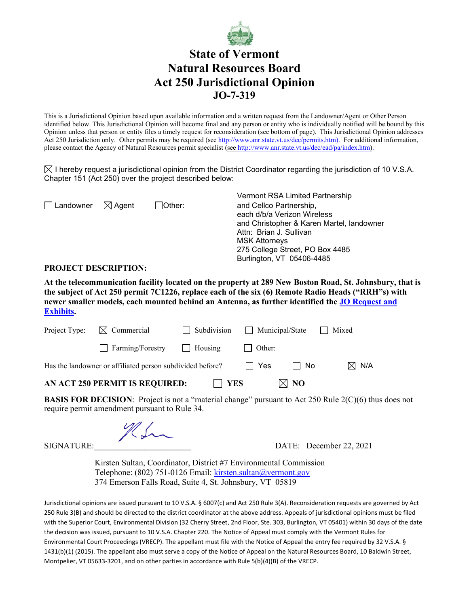

## **State of Vermont Natural Resources Board Act 250 Jurisdictional Opinion JO-7-319**

This is a Jurisdictional Opinion based upon available information and a written request from the Landowner/Agent or Other Person identified below. This Jurisdictional Opinion will become final and any person or entity who is individually notified will be bound by this Opinion unless that person or entity files a timely request for reconsideration (see bottom of page). This Jurisdictional Opinion addresses Act 250 Jurisdiction only. Other permits may be required (see [http://www.anr.state.vt.us/dec/permits.htm\)](http://www.anr.state.vt.us/dec/permits.htm). For additional information, please contact the Agency of Natural Resources permit specialist (see [http://www.anr.state.vt.us/dec/ead/pa/index.htm\)](http://www.anr.state.vt.us/dec/ead/pa/index.htm).

 $\boxtimes$  I hereby request a jurisdictional opinion from the District Coordinator regarding the jurisdiction of 10 V.S.A. Chapter 151 (Act 250) over the project described below:

|                                    |           | Vermont RSA Limited Partnership           |
|------------------------------------|-----------|-------------------------------------------|
| $\Box$ Landowner $\boxtimes$ Agent | l lOther: | and Cellco Partnership,                   |
|                                    |           | each d/b/a Verizon Wireless               |
|                                    |           | and Christopher & Karen Martel, landowner |
|                                    |           | Attn: Brian J. Sullivan                   |
|                                    |           | <b>MSK Attorneys</b>                      |
|                                    |           | 275 College Street, PO Box 4485           |
|                                    |           | Burlington, VT 05406-4485                 |
|                                    |           |                                           |

## **PROJECT DESCRIPTION:**

**At the telecommunication facility located on the property at 289 New Boston Road, St. Johnsbury, that is the subject of Act 250 permit 7C1226, replace each of the six (6) Remote Radio Heads ("RRH"s) with newer smaller models, each mounted behind an Antenna, as further identified the [JO Request and](https://anrweb.vt.gov/ANR/vtANR/Act250SearchResults.aspx?Num=JO%207-319)  [Exhibits.](https://anrweb.vt.gov/ANR/vtANR/Act250SearchResults.aspx?Num=JO%207-319)**

| $\boxtimes$ NO<br>AN ACT 250 PERMIT IS REQUIRED:<br>    YES |                                                           |                                           |                       |                 |       |  |  |  |  |
|-------------------------------------------------------------|-----------------------------------------------------------|-------------------------------------------|-----------------------|-----------------|-------|--|--|--|--|
|                                                             | Has the landowner or affiliated person subdivided before? | II Yes                                    | l I No                | $\boxtimes$ N/A |       |  |  |  |  |
|                                                             | Farming/Forestry Housing                                  |                                           | $\blacksquare$ Other: |                 |       |  |  |  |  |
|                                                             | Project Type: $\boxtimes$ Commercial                      | $\Box$ Subdivision $\Box$ Municipal/State |                       |                 | Mixed |  |  |  |  |

**BASIS FOR DECISION:** Project is not a "material change" pursuant to Act 250 Rule 2(C)(6) thus does not require permit amendment pursuant to Rule 34.

SIGNATURE: We DATE: December 22, 2021

 Kirsten Sultan, Coordinator, District #7 Environmental Commission Telephone: (802) 751-0126 Email: [kirsten.sultan@vermont.gov](mailto:kirsten.sultan@vermont.gov) 374 Emerson Falls Road, Suite 4, St. Johnsbury, VT 05819

Jurisdictional opinions are issued pursuant to 10 V.S.A. § 6007(c) and Act 250 Rule 3(A). Reconsideration requests are governed by Act 250 Rule 3(B) and should be directed to the district coordinator at the above address. Appeals of jurisdictional opinions must be filed with the Superior Court, Environmental Division (32 Cherry Street, 2nd Floor, Ste. 303, Burlington, VT 05401) within 30 days of the date the decision was issued, pursuant to 10 V.S.A. Chapter 220. The Notice of Appeal must comply with the Vermont Rules for Environmental Court Proceedings (VRECP). The appellant must file with the Notice of Appeal the entry fee required by 32 V.S.A. § 1431(b)(1) (2015). The appellant also must serve a copy of the Notice of Appeal on the Natural Resources Board, 10 Baldwin Street, Montpelier, VT 05633-3201, and on other parties in accordance with Rule 5(b)(4)(B) of the VRECP.